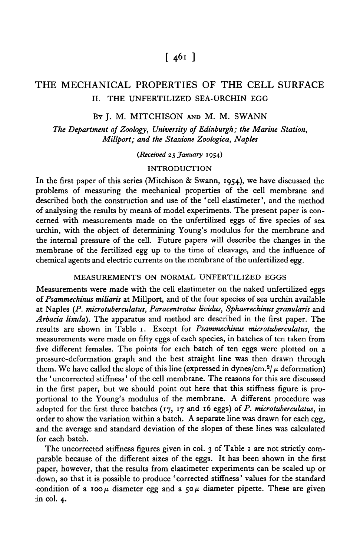# $\lceil 46i \rceil$

## THE MECHANICAL PROPERTIES OF THE CELL SURFACE II. THE UNFERTILIZED SEA-URCHIN EGG

## BY J. M. MITCHISON AND M. M. SWANN

*The Department of Zoology, University of Edinburgh; the Marine Station, Millport; and the Stazione Zoologica, Naples*

*(Received* 25 *January* 1954)

#### INTRODUCTION

In the first paper of this series (Mitchison & Swann, 1954), we have discussed the problems of measuring the mechanical properties of the cell membrane and described both the construction and use of the 'cell elastimeter', and the method of analysing the results by means of model experiments. The present paper is concerned with measurements made on the unfertilized eggs of five species of sea urchin, with the object of determining Young's modulus for the membrane and the internal pressure of the cell. Future papers will describe the changes in the membrane of the fertilized egg up to the time of cleavage, and the influence of chemical agents and electric currents on the membrane of the unfertilized egg.

### MEASUREMENTS ON NORMAL UNFERTILIZED EGGS

Measurements were made with the cell elastimeter on the naked unfertilized eggs of *Psammechinus miliaris* at Millport, and of the four species of sea urchin available at Naples (P. *microtuberculatus, Paracentrotus lividus, Sphaerechinus granularis* and *Arbacia tixula).* The apparatus and method are described in the first paper. The results are shown in Table 1. Except for *Psammechinus microtuberculatus,* the measurements were made on fifty eggs of each species, in batches of ten taken from five different females. The points for each batch of ten eggs were plotted on a pressure-deformation graph and the best straight line was then drawn through them. We have called the slope of this line (expressed in dynes/cm.<sup>2</sup>/ $\mu$  deformation) the ' uncorrected stiffness' of the cell membrane. The reasons for this are discussed in the first paper, but we should point out here that this stiffness figure is proportional to the Young's modulus of the membrane. A different procedure was adopted for the first three batches (17, 17 and 16 eggs) of P. *microtuberculatus,* in order to show the variation within a batch. A separate line was drawn for each egg, and the average and standard deviation of the slopes of these lines was calculated for each batch.

The uncorrected stiffness figures given in col. 3 of Table 1 are not strictly comparable because of the different sizes of the eggs. It has been shown in the first paper, however, that the results from elastimeter experiments can be scaled up or •down, so that it is possible to produce ' corrected stiffness' values for the standard condition of a 100 $\mu$  diameter egg and a 50 $\mu$  diameter pipette. These are given in col. 4.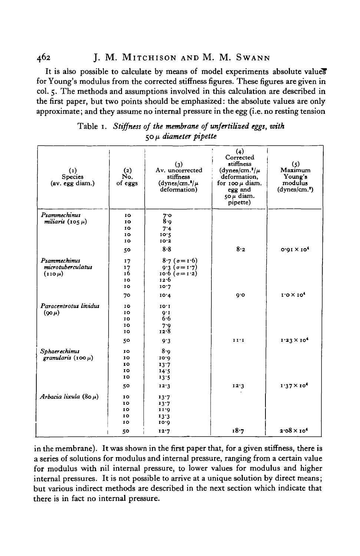462 J. M. MlTCHISON AND M. M. SWANN

It is also possible to calculate by means of model experiments absolute value? for Young's modulus from the corrected stiffness figures. These figures are given in col. 5. The methods and assumptions involved in this calculation are described in the first paper, but two points should be emphasized: the absolute values are only approximate; and they assume no internal pressure in the egg (i.e. no resting tension

| $\left( 1\right)$<br><b>Species</b><br>(av. egg diam.) | $(2)$<br>No.<br>of eggs                | (3)<br>Av. uncorrected<br>stiffness<br>$(dynes/cm.3/\mu$<br>deformation)                             | (4)<br>Corrected<br>stiffness<br>(dynes/cm. <sup>2</sup> / $\mu$<br>deformation.<br>for $100 \mu$ diam.<br>egg and<br>$50 \mu$ diam.<br>pipette) | (5)<br>Maximum<br>Young's<br>modulus<br>(dynes/cm. <sup>s</sup> ) |
|--------------------------------------------------------|----------------------------------------|------------------------------------------------------------------------------------------------------|--------------------------------------------------------------------------------------------------------------------------------------------------|-------------------------------------------------------------------|
| Psammechinus<br>miliaris (105 $\mu$ )                  | 10<br>10<br>10<br>10<br>10             | 7°<br>8.0<br>7.4<br>10.2<br>10.3                                                                     |                                                                                                                                                  |                                                                   |
| Psammechinus<br>microtuberculatus<br>$(110 \mu)$       | 50<br>17<br>17<br>16<br>10<br>IO       | 8.8<br>$8.7$ ( $\sigma = 1.6$ )<br>$9.3$ ( $\sigma = 1.7$ )<br>10.6 $(\sigma = 1.2)$<br>12.6<br>10.7 | 8.2                                                                                                                                              | $0.91 \times 10^4$                                                |
| Paracentrotus lividus<br>$(90 \mu)$                    | 70<br>10<br>10<br>10<br>10<br>10<br>50 | 10.4<br>10.1<br>$Q^*I$<br>$6 - 6$<br>7.9<br>12.8                                                     | 0.6<br>11'1                                                                                                                                      | $1.0 \times 10^4$<br>$1.23 \times 10^{4}$                         |
| Sphaerechimus<br>granularis $(100 \mu)$                | IO<br>10<br>IO<br>10<br>10             | 9.3<br>8.9<br>10.0<br>13.7<br>14.5<br>13.5                                                           |                                                                                                                                                  |                                                                   |
| Arbacia lixula $(80 \mu)$                              | 50<br>10<br>10<br>IO<br>10<br>10<br>50 | 12.3<br>13.7<br>13.7<br>11.0<br>13.3<br>10.0<br>12.7                                                 | 12.3<br>18.7                                                                                                                                     | $1.37 \times 10^4$<br>$2.08 \times 10^{4}$                        |

Table 1. *Stiffness of the membrane of unfertilized eggs, with* 50 *(i diameter pipette*

in the membrane). It was shown in the first paper that, for a given stiffness, there is a series of solutions for modulus and internal pressure, ranging from a certain value for modulus with nil internal pressure, to lower values for modulus and higher internal pressures. It is not possible to arrive at a unique solution by direct means; but various indirect methods are described in the next section which indicate that there is in fact no internal pressure.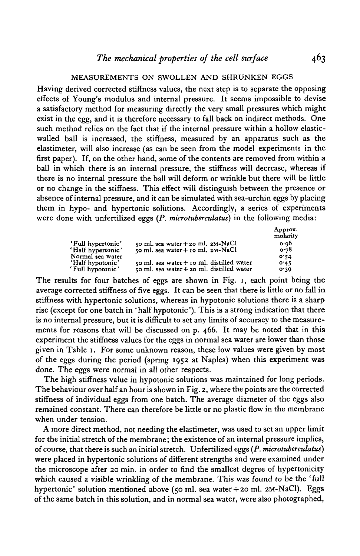#### MEASUREMENTS ON SWOLLEN AND SHRUNKEN EGGS

Having derived corrected stiffness values, the next step is to separate the opposing effects of Young's modulus and internal pressure. It seems impossible to devise a satisfactory method for measuring directly the very small pressures which might exist in the egg, and it is therefore necessary to fall back on indirect methods. One such method relies on the fact that if the internal pressure within a hollow elasticwalled ball is increased, the stiffness, measured by an apparatus such as the elastimeter, will also increase (as can be seen from the model experiments in the first paper). If, on the other hand, some of the contents are removed from within a ball in which there is an internal pressure, the stiffness will decrease, whereas if there is no internal pressure the ball will deform or wrinkle but there will be little or no change in the stiffness. This effect will distinguish between the presence or absence of internal pressure, and it can be simulated with sea-urchin eggs by placing them in hypo- and hypertonic solutions. Accordingly, a series of experiments were done with unfertilized eggs *(P. microtuberculatus)* in the following media:

|                   |                                               | Approx.<br>molarity |
|-------------------|-----------------------------------------------|---------------------|
| 'Full hypertonic' | 50 ml. sea water $+$ 20 ml. 2M-NaCl           | o.op                |
| 'Half hypertonic' | 50 ml. sea water + $10$ ml. $2M-NaCl$         | 0.78                |
| Normal sea water  |                                               | 0.54                |
| 'Half hypotonic'  | $50$ ml. sea water $+$ 10 ml. distilled water | 0.45                |
| 'Full hypotonic'  | 50 ml. sea water + 20 ml. distilled water     | 0.39                |

The results for four batches of eggs are shown in Fig. 1, each point being the average corrected stiffness of five eggs. It can be seen that there is little or no fall in stiffness with hypertonic solutions, whereas in hypotonic solutions there is a sharp rise (except for one batch in 'half hypotonic'). This is a strong indication that there is no internal pressure, but it is difficult to set any limits of accuracy to the measurements for reasons that will be discussed on p. 466. It may be noted that in this experiment the stiffness values for the eggs in normal sea water are lower than those given in Table 1. For some unknown reason, these low values were given by most of the eggs during the period (spring 1952 at Naples) when this experiment was done. The eggs were normal in all other respects.

The high stiffness value in hypotonic solutions was maintained for long periods. The behaviour over half an hour is shown in Fig. 2, where the points are the corrected stiffness of individual eggs from one batch. The average diameter of the eggs also remained constant. There can therefore be little or no plastic flow in the membrane when under tension.

A more direct method, not needing the elastimeter, was used to set an upper limit for the initial stretch of the membrane; the existence of an internal pressure implies, of course, that there is such an initial stretch. Unfertilized eggs *(P. microtuberculatus)* were placed in hypertonic solutions of different strengths and were examined under the microscope after 20 min. in order to find the smallest degree of hypertonicity which caused a visible wrinkling of the membrane. This was found to be the 'full hypertonic' solution mentioned above (50 ml. sea water+ 20 ml. 2M-NaCl). Eggs of the same batch in this solution, and in normal sea water, were also photographed,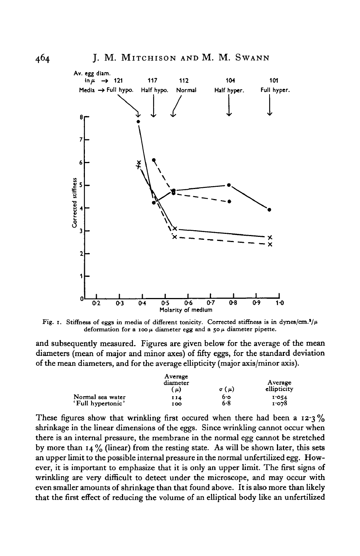

Fig. 1. Stiffness of eggs in media of different tonicity. Corrected stiffness is in dynes/cm.<sup>3</sup>/ $\mu$ deformation for a 100  $\mu$  diameter egg and a 50  $\mu$  diameter pipette.

and subsequently measured. Figures are given below for the average of the mean diameters (mean of major and minor axes) of fifty eggs, for the standard deviation of the mean diameters, and for the average ellipticity (major axis/minor axis).

|                   | Average<br>diameter<br>(μ) | Average<br>ellipticity |       |
|-------------------|----------------------------|------------------------|-------|
| Normal sea water  | 114                        | 6.о                    | 1.054 |
| 'Full hypertonic' | 100                        | 6.8                    | 1.078 |

These figures show that wrinkling first occured when there had been a  $12.3\%$ shrinkage in the linear dimensions of the eggs. Since wrinkling cannot occur when there is an internal pressure, the membrane in the normal egg cannot be stretched by more than  $14\frac{9}{6}$  (linear) from the resting state. As will be shown later, this sets an upper limit to the possible internal pressure in the normal unfertilized egg. However, it is important to emphasize that it is only an upper limit. The first signs of wrinkling are very difficult to detect under the microscope, and may occur with even smaller amounts of shrinkage than that found above. It is also more than likely that the first effect of reducing the volume of an elliptical body like an unfertilized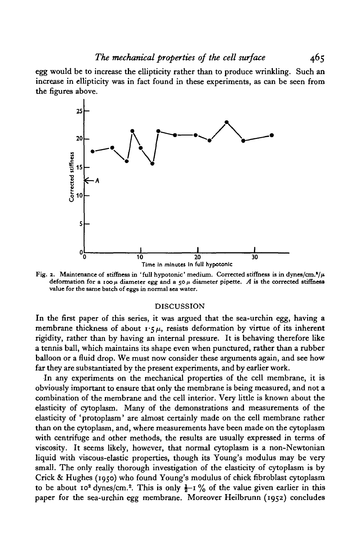*The mechanical properties of the cell surface* 465

egg would be to increase the ellipticity rather than to produce wrinkling. Such an increase in ellipticity was in fact found in these experiments, as can be seen from the figures above.



Fig. 2. Maintenance of stiffness in 'full hypotonic' medium. Corrected stiffness is in dynes/cm.<sup>3</sup>/ $\mu$ deformation for a 100  $\mu$  diameter egg and a 50  $\mu$  diameter pipette. *A* is the corrected stiffness value for the same batch of eggs in normal sea water.

#### DISCUSSION

In the first paper of this series, it was argued that the sea-urchin egg, having a membrane thickness of about  $1.5 \mu$ , resists deformation by virtue of its inherent rigidity, rather than by having an internal pressure. It is behaving therefore like a tennis ball, which maintains its shape even when punctured, rather than a rubber balloon or a fluid drop. We must now consider these arguments again, and see how far they are substantiated by the present experiments, and by earlier work.

In any experiments on the mechanical properties of the cell membrane, it is obviously important to ensure that only the membrane is being measured, and not a combination of the membrane and the cell interior. Very little is known about the elasticity of cytoplasm. Many of the demonstrations and measurements of the elasticity of 'protoplasm' are almost certainly made on the cell membrane rather than on the cytoplasm, and, where measurements have been made on the cytoplasm with centrifuge and other methods, the results are usually expressed in terms of viscosity. It seems likely, however, that normal cytoplasm is a non-Newtonian liquid with viscous-elastic properties, though its Young's modulus may be very small. The only really thorough investigation of the elasticity of cytoplasm is by Crick & Hughes (1950) who found Young's modulus of chick fibroblast cytoplasm to be about 10<sup>2</sup> dynes/cm.<sup>2</sup>. This is only  $\frac{1}{2}$ -1 % of the value given earlier in this paper for the sea-urchin egg membrane. Moreover Heilbrunn (1952) concludes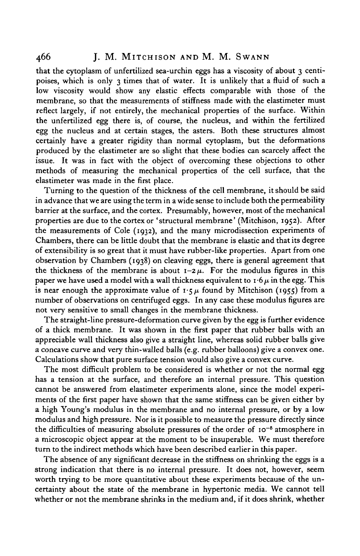that the cytoplasm of unfertilized sea-urchin eggs has a viscosity of about 3 centipoises, which is only 3 times that of water. It is unlikely that a fluid of such a low viscosity would show any elastic effects comparable with those of the membrane, so that the measurements of stiffness made with the elastimeter must reflect largely, if not entirely, the mechanical properties of the surface. Within the unfertilized egg there is, of course, the nucleus, and within the fertilized egg the nucleus and at certain stages, the asters. Both these structures almost certainly have a greater rigidity than normal cytoplasm, but the deformations produced by the elastimeter are so slight that these bodies can scarcely affect the issue. It was in fact with the object of overcoming these objections to other methods of measuring the mechanical properties of the cell surface, that the elastimeter was made in the first place.

Turning to the question of the thickness of the cell membrane, it should be said in advance that we are using the term in a wide sense to include both the permeability barrier at the surface, and the cortex. Presumably, however, most of the mechanical properties are due to the cortex or 'structural membrane' (Mitchison, 1952). After the measurements of Cole (1932), and the many microdissection experiments of Chambers, there can be little doubt that the membrane is elastic and that its degree of extensibility is so great that it must have rubber-like properties. Apart from one observation by Chambers (1938) on cleaving eggs, there is general agreement that the thickness of the membrane is about  $I - 2\mu$ . For the modulus figures in this paper we have used a model with a wall thickness equivalent to  $\mathbf{r} \cdot 6\mu$  in the egg. This is near enough the approximate value of  $\mathbf{1} \cdot \mathbf{5} \mu$  found by Mitchison (1955) from a number of observations on centrifuged eggs. In any case these modulus figures are not very sensitive to small changes in the membrane thickness.

The straight-line pressure-deformation curve given by the egg is further evidence of a thick membrane. It was shown in the first paper that rubber balls with an appreciable wall thickness also give a straight line, whereas solid rubber balls give a concave curve and very thin-walled balls (e.g. rubber balloons) give a convex one. Calculations show that pure surface tension would also give a convex curve.

The most difficult problem to be considered is whether or not the normal egg has a tension at the surface, and therefore an internal pressure. This question cannot be answered from elastimeter experiments alone, since the model experiments of the first paper have shown that the same stiffness can be given either by a high Young's modulus in the membrane and no internal pressure, or by a low modulus and high pressure. Nor is it possible to measure the pressure directly since the difficulties of measuring absolute pressures of the order of 10<sup>-5</sup> atmosphere in a microscopic object appear at the moment to be insuperable. We must therefore turn to the indirect methods which have been described earlier in this paper.

The absence of any significant decrease in the stiffness on shrinking the eggs is a strong indication that there is no internal pressure. It does not, however, seem worth trying to be more quantitative about these experiments because of the uncertainty about the state of the membrane in hypertonic media. We cannot tell whether or not the membrane shrinks in the medium and, if it does shrink, whether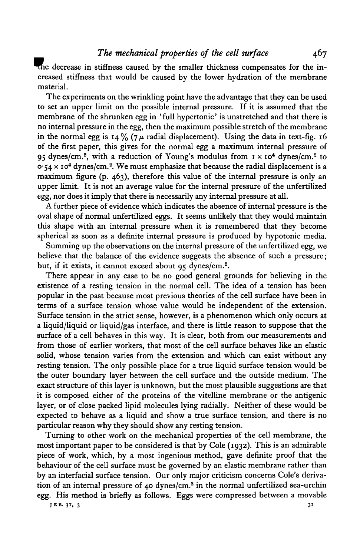decrease in stiffness caused by the smaller thickness compensates for the increased stiffness that would be caused by the lower hydration of the membrane material.

The experiments on the wrinkling point have the advantage that they can be used to set an upper limit on the possible internal pressure. If it is assumed that the membrane of the shrunken egg in 'full hypertonic' is unstretched and that there is no internal pressure in the egg, then the maximum possible stretch of the membrane in the normal egg is 14% (7 $\mu$  radial displacement). Using the data in text-fig. 16 of the first paper, this gives for the normal egg a maximum internal pressure of 95 dynes/cm.<sup>2</sup>, with a reduction of Young's modulus from  $1 \times 10^4$  dynes/cm.<sup>2</sup> to 0.54  $\times$  10<sup>4</sup> dynes/cm.<sup>2</sup>. We must emphasize that because the radial displacement is a maximum figure (p. 463), therefore this value of the internal pressure is only an upper limit. It is not an average value for the internal pressure of the unfertilized egg, nor does it imply that there is necessarily any internal pressure at all.

A further piece of evidence which indicates the absence of internal pressure is the oval shape of normal unfertilized eggs. It seems unlikely that they would maintain this shape with an internal pressure when it is remembered that they become spherical as soon as a definite internal pressure is produced by hypotonic media.

Summing up the observations on the internal pressure of the unfertilized egg, we believe that the balance of the evidence suggests the absence of such a pressure; but, if it exists, it cannot exceed about 95 dynes/cm.<sup>2</sup>.

There appear in any case to be no good general grounds for believing in the existence of a resting tension in the normal cell. The idea of a tension has been popular in the past because most previous theories of the cell surface have been in terms of a surface tension whose value would be independent of the extension. Surface tension in the strict sense, however, is a phenomenon which only occurs at a liquid/liquid or liquid/gas interface, and there is little reason to suppose that the surface of a cell behaves in this way. It is clear, both from our measurements and from those of earlier workers, that most of the cell surface behaves like an elastic solid, whose tension varies from the extension and which can exist without any resting tension. The only possible place for a true liquid surface tension would be the outer boundary layer between the cell surface and the outside medium. The exact structure of this layer is unknown, but the most plausible suggestions are that it is composed either of the proteins of the vitelline membrane or the antigenic layer, or of close packed lipid molecules lying radially. Neither of these would be expected to behave as a liquid and show a true surface tension, and there is no particular reason why they should show any resting tension.

Turning to other work on the mechanical properties of the cell membrane, the most important paper to be considered is that by Cole (1932). This is an admirable piece of work, which, by a most ingenious method, gave definite proof that the behaviour of the cell surface must be governed by an elastic membrane rather than by an interfacial surface tension. Our only major criticism concerns Cole's derivation of an internal pressure of 40 dynes/cm.2 in the normal unfertilized sea-urchin egg. His method is briefly as follows. Eggs were compressed between a movable

**JBB. 31, 3 31**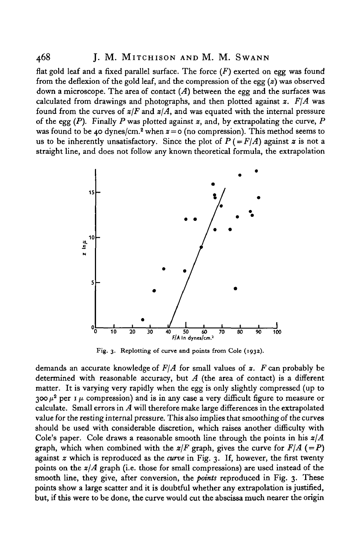## 468 J. M. MlTCHISON AND M. M. SWANN

flat gold leaf and a fixed parallel surface. The force *(F)* exerted on egg was found from the deflexion of the gold leaf, and the compression of the egg *(z)* was observed down a microscope. The area of contact *(A)* between the egg and the surfaces was calculated from drawings and photographs, and then plotted against  $\boldsymbol{z}$ .  $F/\boldsymbol{A}$  was found from the curves of *z/F* and *z/A,* and was equated with the internal pressure of the egg *(P).* Finally *P* was plotted against *z,* and, by extrapolating the curve, *P* was found to be 40 dynes/cm.<sup>2</sup> when  $x = o$  (no compression). This method seems to us to be inherently unsatisfactory. Since the plot of  $P (= F/A)$  against z is not a straight line, and does not follow any known theoretical formula, the extrapolation



Fig. 3. Replotting of curve and points from Cole (1932).

demands an accurate knowledge of *F\A* for small values of *z. F* can probably be determined with reasonable accuracy, but *A* (the area of contact) is a different matter. It is varying very rapidly when the egg is only slightly compressed (up to  $300 \mu^2$  per 1  $\mu$  compression) and is in any case a very difficult figure to measure or calculate. Small errors in *A* will therefore make large differences in the extrapolated value for the resting internal pressure. This also implies that smoothing of the curves should be used with considerable discretion, which raises another difficulty with Cole's paper. Cole draws a reasonable smooth line through the points in his *zjA* graph, which when combined with the  $z/F$  graph, gives the curve for  $F/A$  (=P) against *z* which is reproduced as the *curve* in Fig. 3. If, however, the first twenty points on the *z/A* graph (i.e. those for small compressions) are used instead of the smooth line, they give, after conversion, the *points* reproduced in Fig. 3. These points show a large scatter and it is doubtful whether any extrapolation is justified, but, if this were to be done, the curve would cut the abscissa much nearer the origin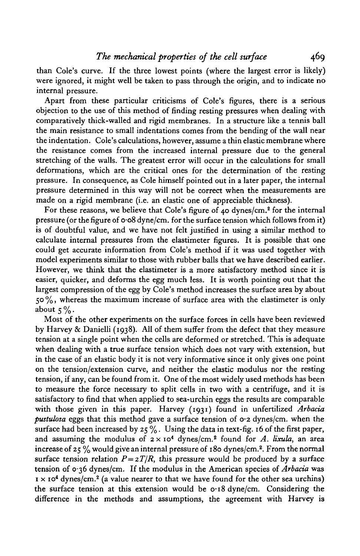than Cole's curve. If the three lowest points (where the largest error is likely) were ignored, it might well be taken to pass through the origin, and to indicate no internal pressure.

Apart from these particular criticisms of Cole's figures, there is a serious objection to the use of this method of finding resting pressures when dealing with comparatively thick-walled and rigid membranes. In a structure like a tennis ball the main resistance to small indentations comes from the bending of the wall near the indentation. Cole's calculations, however, assume a thin elastic membrane where the resistance comes from the increased internal pressure due to the general stretching of the walls. The greatest error will occur in the calculations for small deformations, which are the critical ones for the determination of the resting pressure. In consequence, as Cole himself pointed out in a later paper, the internal pressure determined in this way will not be correct when the measurements are made on a rigid membrane (i.e. an elastic one of appreciable thickness).

For these reasons, we believe that Cole's figure of 40 dynes/cm.<sup>2</sup> for the internal pressure (or the figure of 0-08 dyne/cm, for the surface tension which follows from it) is of doubtful value, and we have not felt justified in using a similar method to calculate internal pressures from the elastimeter figures. It is possible that one could get accurate information from Cole's method if it was used together with model experiments similar to those with rubber balls that we have described earlier. However, we think that the elastimeter is a more satisfactory method since it is easier, quicker, and deforms the egg much less. It is worth pointing out that the largest compression of the egg by Cole's method increases the surface area by about  $50\%$ , whereas the maximum increase of surface area with the elastimeter is only about  $5\%$ .

Most of the other experiments on the surface forces in cells have been reviewed by Harvey & Danielli (1938). All of them suffer from the defect that they measure tension at a single point when the cells are deformed or stretched. This is adequate when dealing with a true surface tension which does not vary with extension, but in the case of an elastic body it is not very informative since it only gives one point on the tension/extension curve, and neither the elastic modulus nor the resting tension, if any, can be found from it. One of the most widely used methods has been to measure the force necessary to split cells in two with a centrifuge, and it is satisfactory to find that when applied to sea-urchin eggs the results are comparable with those given in this paper. Harvey (1931) found in unfertilized *Arbacia pustulosa* eggs that this method gave a surface tension of 0-2 dynes/cm, when the surface had been increased by  $25\%$ . Using the data in text-fig. 16 of the first paper, and assuming the modulus of  $2 \times 10^4$  dynes/cm.<sup>2</sup> found for *A. lixula*, an area increase of 25  $\%$  would give an internal pressure of 180 dynes/cm.<sup>2</sup>. From the normal surface tension relation  $P = 2T/R$ , this pressure would be produced by a surface tension of 036 dynes/cm. If the modulus in the American species of *Arbacia* was  $1 \times 10^4$  dynes/cm.<sup>2</sup> (a value nearer to that we have found for the other sea urchins) the surface tension at this extension would be  $\sigma$  18 dyne/cm. Considering the difference in the methods and assumptions, the agreement with Harvey is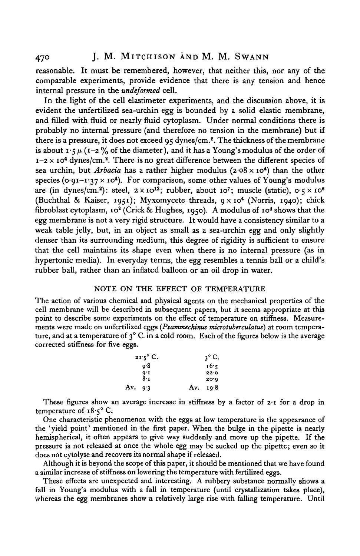reasonable. It must be remembered, however, that neither this, nor any of the comparable experiments, provide evidence that there is any tension and hence internal pressure in the *undeformed* cell.

In the light of the cell elastimeter experiments, and the discussion above, it is evident the unfertilized sea-urchin egg is bounded by a solid elastic membrane, and filled with fluid or nearly fluid cytoplasm. Under normal conditions there is probably no internal pressure (and therefore no tension in the membrane) but if there is a pressure, it does not exceed 95 dynes/cm.2 . The thickness of the membrane is about  $\mathbf{1} \cdot \mathbf{5} \mu$  ( $\mathbf{1} - \mathbf{2} \gamma_0$  of the diameter), and it has a Young's modulus of the order of  $1-2 \times 10^4$  dynes/cm.<sup>2</sup>. There is no great difference between the different species of sea urchin, but *Arbacia* has a rather higher modulus (2.08 x 10<sup>4</sup>) than the other species (0.91-1.37  $\times$  10<sup>4</sup>). For comparison, some other values of Young's modulus are (in dynes/cm.<sup>2</sup>): steel,  $2 \times 10^{12}$ ; rubber, about 10<sup>7</sup>; muscle (static),  $0.5 \times 10^6$ (Buchthal & Kaiser, 1951); Myxomycete threads, 9x10\* (Norris, 1940); chick fibroblast cytoplasm, 10<sup>2</sup> (Crick & Hughes, 1950). A modulus of 10<sup>4</sup> shows that the egg membrane is not a very rigid structure. It would have a consistency similar to a weak table jelly, but, in an object as small as a sea-urchin egg and only slightly denser than its surrounding medium, this degree of rigidity is sufficient to ensure that the cell maintains its shape even when there is no internal pressure (as in hypertonic media). In everyday terms, the egg resembles a tennis ball or a child's rubber ball, rather than an inflated balloon or an oil drop in water.

#### NOTE ON THE EFFECT OF TEMPERATURE

The action of various chemical and physical agents on the mechanical properties of the cell membrane will be described in subsequent papers, but it seems appropriate at this point to describe some experiments on the effect of temperature on stiffness. Measure-<br>ments were made on unfertilized eggs (*Psammechinus microtuberculatus*) at room tempera-<br>ture, and at a temperature of 3° C. in a cold corrected stiffness for five eggs.

|           | $21.5^{\circ}$ C. | $3^{\circ}$ C. |
|-----------|-------------------|----------------|
|           | o.8               | 16.5           |
|           | 0.1               | 22.0           |
|           | 8•т               | 20'Q           |
| Av. $9.3$ |                   | Av. $10.8$     |

These figures show an average increase in stiffness by a factor of  $2 \cdot 1$  for a drop in temperature of 18.5° C.

One characteristic phenomenon with the eggs at low temperature is the appearance of the 'yield point' mentioned in the first paper. When the bulge in the pipette is nearly hemispherical, it often appears to give way suddenly and move up the pipette. If the pressure is not released at once the whole egg may be sucked up the pipette; even so it does not cytolyse and recovers its normal shape if released.

Although it is beyond the scope of this paper, it should be mentioned that we have found a similar increase of stiffness on lowering the temperature with fertilized eggs.

These effects are unexpected and interesting. A rubbery substance normally shows a fall in Young's modulus with a fall in temperature (until crystallization takes place), whereas the egg membranes show a relatively large rise with falling temperature. Until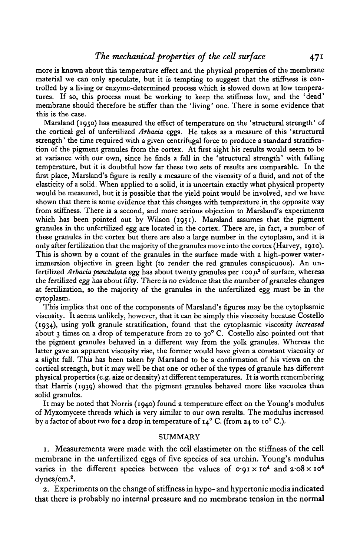more is known about this temperature effect and the physical properties of the membrane material we can only speculate, but it is tempting to suggest that the stiffness is controlled by a living or enzyme-determined process which is slowed down at low temperatures. If so, this process must be working to keep the stiffness low, and the 'dead' membrane should therefore be stiffer than the 'living' one. There is some evidence that this is the case.

Marsland (1950) has measured the effect of temperature on the 'structural strength' of the cortical gel of unfertilized *Arbacia* eggs. He takes as a measure of this 'structural strength' the time required with a given centrifugal force to produce a standard stratification of the pigment granules from the cortex. At first sight his results would seem to be at variance with our own, since he finds a fall in the 'structural strength' with falling temperature, but it is doubtful how far these two sets of results are comparable. In the first place, Marsland's figure is really a measure of the viscosity of a fluid, and not of the elasticity of a solid. When applied to a solid, it is uncertain exactly what physical property would be measured, but it is possible that the yield point would be involved, and we have shown that there is some evidence that this changes with temperature in the opposite way from stiffness. There is a second, and more serious objection to Marsland's experiments which has been pointed out by Wilson (1951). Marsland assumes that the pigment granules in the unfertilized egg are located in the cortex. There are, in fact, a number of these granules in the cortex but there are also a large number in the cytoplasm, and it is only after fertilization that the majority of the granules move into the cortex (Harvey, 1910). This is shown by a count of the granules in the surface made with a high-power waterimmersion objective in green light (to render the red granules conspicuous). An unfertilized *Arbacia punctulata* egg has about twenty granules per 100  $\mu^2$  of surface, whereas the fertilized egg has about fifty. There is no evidence that the number of granules changes at fertilization, so the majority of the granules in the unfertilized egg must be in the cytoplasm.

This implies that one of the components of Marsland's figures may be the cytoplasmic viscosity. It seems unlikely, however, that it can be simply this viscosity because Costello (1934), using yolk granule stratification, found that the cytoplasmic viscosity *increased* about 3 times on a drop of temperature from 20 to 30° C. Costello also pointed out that the pigment granules behaved in a different way from the yolk granules. Whereas the latter gave an apparent viscosity rise, the former would have given a constant viscosity or a slight fall. This has been taken by Marsland to be a confirmation of his views on the cortical strength, but it may well be that one or other of the types of granule has different physical properties (e.g. size or density) at different temperatures. It is worth remembering that Harris (1939) showed that the pigment granules behaved more like vacuoles than solid granules.

It may be noted that Norris (1940) found a temperature effect on the Young's modulus of Myxomycete threads which is very similar to our own results. The modulus increased by a factor of about two for a drop in temperature of  $14^{\circ}$  C. (from 24 to 10° C.).

#### **SUMMARY**

1. Measurements were made with the cell elastimeter on the stiffness of the cell membrane in the unfertilized eggs of five species of sea urchin. Young's modulus varies in the different species between the values of  $\sigma$  91 x 10<sup>4</sup> and 2 08 x 10<sup>4</sup> dynes/cm.2 .

2. Experiments on the change of stiffness in hypo- and hypertonic media indicated that there is probably no internal pressure and no membrane tension in the normal